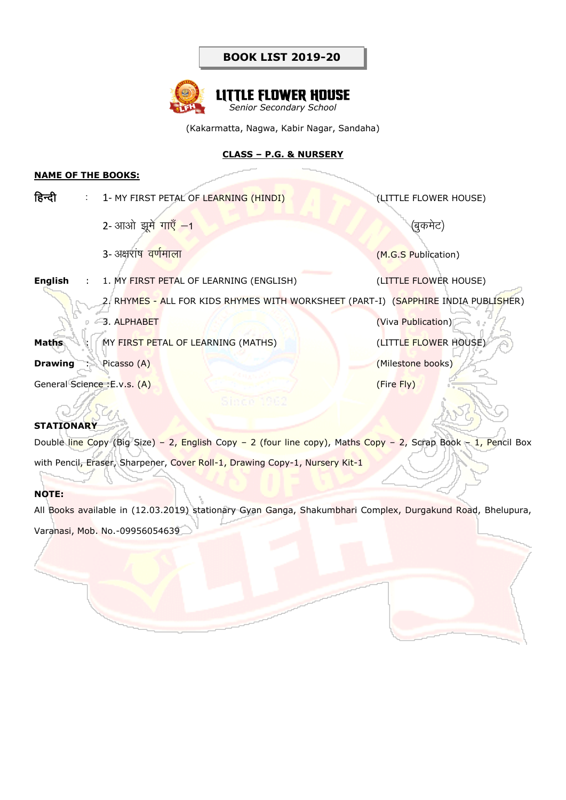

(Kakarmatta, Nagwa, Kabir Nagar, Sandaha)

#### **CLASS – P.G. & NURSERY**

### **NAME OF THE BOOKS:**

| हिन्दी                      |  | : 1- MY FIRST PETAL OF LEARNING (HINDI)                                            | (LITTLE FLOWER HOUSE) |
|-----------------------------|--|------------------------------------------------------------------------------------|-----------------------|
|                             |  | 2- आओ झूमे गाएँ -1                                                                 | (बुकमेट)              |
|                             |  | 3- अक्षरांष वर्णमाला                                                               | (M.G.S Publication)   |
| <b>English</b>              |  | : 1. MY FIRST PETAL OF LEARNING (ENGLISH)                                          | (LITTLE FLOWER HOUSE) |
|                             |  | 2. RHYMES - ALL FOR KIDS RHYMES WITH WORKSHEET (PART-I) (SAPPHIRE INDIA PUBLISHER) |                       |
|                             |  | 3. ALPHABET                                                                        | (Viva Publication)    |
| <b>Maths</b>                |  | : MY FIRST PETAL OF LEARNING (MATHS)                                               | (LITTLE FLOWER HOUSE) |
| Drawing :                   |  | Picasso (A)                                                                        | (Milestone books)     |
| General Science: E.v.s. (A) |  |                                                                                    | (Fire Fly)            |
|                             |  |                                                                                    |                       |

#### **STATIONARY**

Double line Copy (Big Size) – 2, English Copy – 2 (four line copy), Maths Copy – 2, Scrap Book – 1, Pencil Box with Pencil, Eraser, Sharpener, Cover Roll-1, Drawing Copy-1, Nursery Kit-1

#### **NOTE:**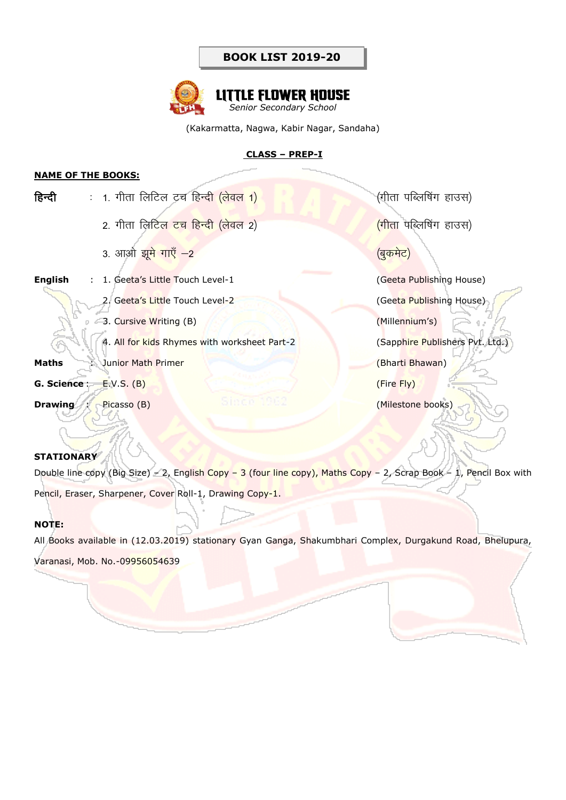

(Kakarmatta, Nagwa, Kabir Nagar, Sandaha)

#### **CLASS – PREP-I**

#### **NAME OF THE BOOKS:**

| हिन्दी           | <u>:  1. गीता लिटिल टच हिन्दी (लेवल 1)</u>   | (गीता पब्लिषिंग हाउस)              |
|------------------|----------------------------------------------|------------------------------------|
|                  | <u>2. गीता लिटिल टच हिन्दी (लेवल 2)</u>      | <mark>(गीता पब्लिषिंग हाउस)</mark> |
|                  | 3. आओ झू <mark>मे गाएँ –2</mark>             | <u>(बुकमेट)</u>                    |
| <b>English</b>   | : 1. Geeta's Little Touch Level-1            | (Geeta Publishing House)           |
|                  | 2. Geeta's Little Touch Level-2              | (Geeta Publishing House)           |
|                  | 3. Cursive Writing (B)                       | (Millennium's)                     |
|                  | 4. All for kids Rhymes with worksheet Part-2 | (Sapphire Publishers Pvt. Ltd.)    |
| <b>Maths</b>     | : Junior Math Primer                         | (Bharti Bhawan)                    |
| G. Science:      | E.V.S. (B)                                   | (Fire Fly)                         |
| <b>Drawing</b> : | Picasso (B)                                  | (Milestone books)                  |
|                  |                                              |                                    |

#### **STATIONARY**

Double line copy (Big Size) – 2, English Copy – 3 (four line copy), Maths Copy – 2, Scrap Book – 1, Pencil Box with Pencil, Eraser, Sharpener, Cover Roll-1, Drawing Copy-1.

#### **NOTE:**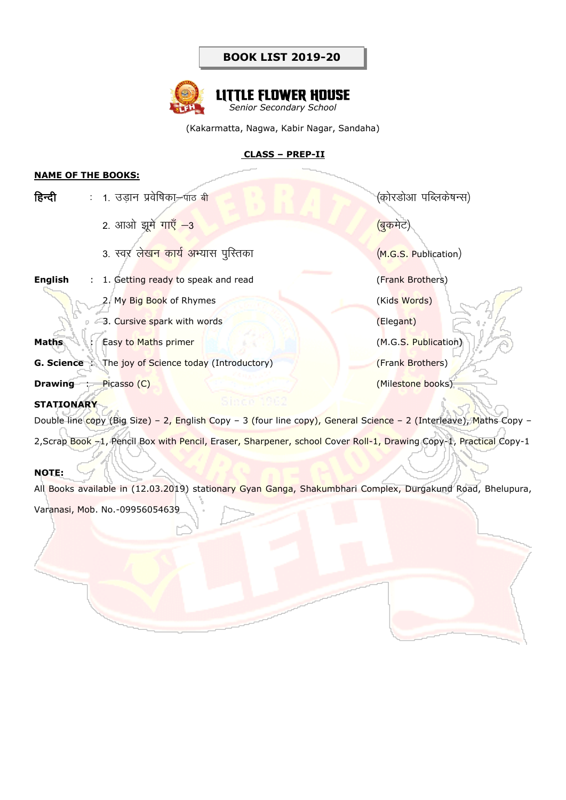

(Kakarmatta, Nagwa, Kabir Nagar, Sandaha)

### **CLASS – PREP-II**

#### **NAME OF THE BOOKS:**

| हिन्दी         | : 1. उडान प्रवेषिका—पाठ बी                                  | (कोरडोआ पब्लिकेषन्स) |
|----------------|-------------------------------------------------------------|----------------------|
|                | 2. आओ झूमे गाएँ -3                                          | (बुकमेट)             |
|                | 3. स्वर लेखन कार्य अभ्यास पुस्तिका                          | (M.G.S. Publication) |
| <b>English</b> | 1. Getting ready to speak and read                          | (Frank Brothers)     |
|                | 2. My Big Book of Rhymes                                    | (Kids Words)         |
|                | 3. Cursive spark with words                                 | (Elegant)            |
| <b>Maths</b>   | Easy to Maths primer                                        | (M.G.S. Publication) |
|                | <b>G. Science</b> : The joy of Science today (Introductory) | (Frank Brothers)     |

**Drawing** : Picasso (C) (Milestone books)

**STATIONARY** 

Double line copy (Big Size) – 2, English Copy – 3 (four line copy), General Science – 2 (Interleave), Maths Copy – 2,Scrap Book -1, Pencil Box with Pencil, Eraser, Sharpener, school Cover Roll-1, Drawing Copy-1, Practical Copy-1

### **NOTE:**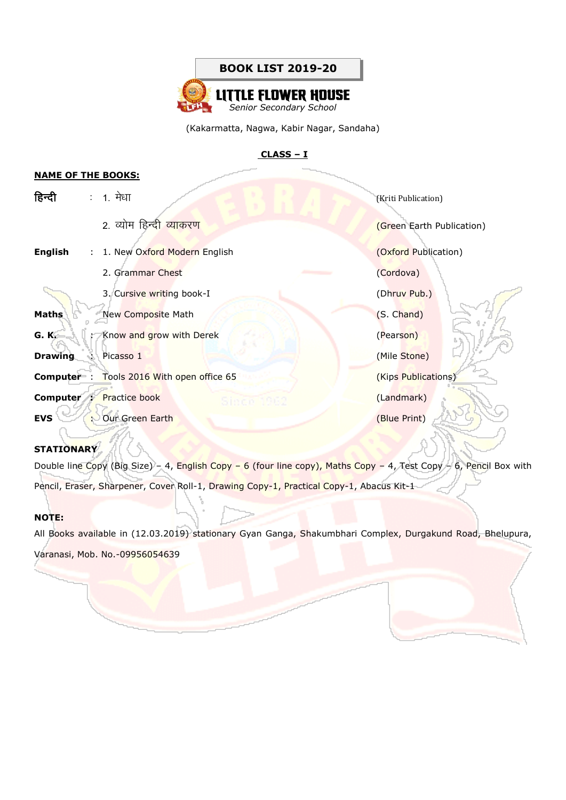

#### **CLASS – I**

#### **NAME OF THE BOOKS:**

| हिन्दी         |                           | : 1. मेधा                                                                                                                                                                                                                                                | (Kriti Publication)       |
|----------------|---------------------------|----------------------------------------------------------------------------------------------------------------------------------------------------------------------------------------------------------------------------------------------------------|---------------------------|
|                |                           | 2. व्योम हिन्द <mark>ी व्याकरण</mark>                                                                                                                                                                                                                    | (Green Earth Publication) |
| English        |                           | : 1. New Oxford Modern English                                                                                                                                                                                                                           | (Oxford Publication)      |
|                |                           | 2. Grammar Chest<br><u> The Common Service Common Service Common Service Common Service Common Service Common Service Common Service Common Service Common Service Common Service Common Service Common Service Common Service Common Service Common</u> | (Cordova)                 |
|                |                           | 3. Cursive writing book-I                                                                                                                                                                                                                                | (Dhruv Pub.)              |
| Maths          |                           | New Composite Math                                                                                                                                                                                                                                       | (S. Chand)                |
| G. K.          |                           | : Know and grow with Derek                                                                                                                                                                                                                               | (Pearson)                 |
| <b>Drawing</b> | $\mathbb{R}^{\mathbb{Z}}$ | Picasso 1                                                                                                                                                                                                                                                | (Mile Stone)              |
|                |                           | <b>Computer</b> : Tools 2016 With open office 65                                                                                                                                                                                                         | (Kips Publications)       |
|                |                           | <b>Computer : Practice book</b><br>Sings 1262                                                                                                                                                                                                            | (Landmark)                |
| <b>EVS</b>     |                           | : Our Green Earth                                                                                                                                                                                                                                        | (Blue Print)              |
|                |                           |                                                                                                                                                                                                                                                          |                           |

#### **STATIONARY**

Double line Copy (Big Size) – 4, English Copy – 6 (four line copy), Maths Copy – 4, Test Copy – 6, Pencil Box with Pencil, Eraser, Sharpener, Cover Roll-1, Drawing Copy-1, Practical Copy-1, Abacus Kit-1

#### **NOTE:**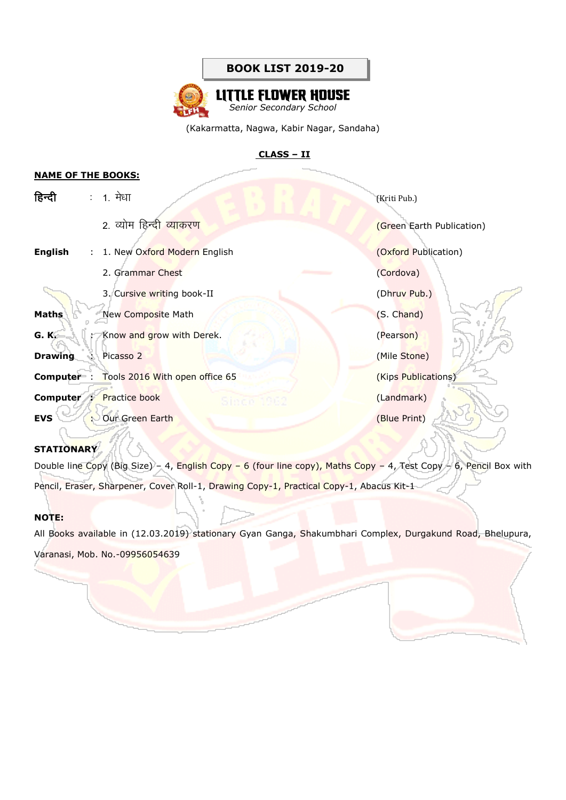

# **LITTLE FLOWER HOUSE** *Senior Secondary School*

(Kakarmatta, Nagwa, Kabir Nagar, Sandaha)

### **CLASS – II**

#### **NAME OF THE BOOKS:**

| हिन्दी         |                            | : 1. मेधा                                           | (Kriti Pub.)              |
|----------------|----------------------------|-----------------------------------------------------|---------------------------|
|                |                            | 2. व्योम हिन्द <mark>ी व्याकरण</mark>               | (Green Earth Publication) |
| English        |                            | : 1. New Oxford Modern English                      | (Oxford Publication)      |
|                |                            | 2. Grammar Chest<br><u> Maria Alemania de San A</u> | (Cordova)                 |
|                |                            | 3. Cursive writing book-II                          | (Dhruv Pub.)              |
| Maths          |                            | New Composite Math                                  | (S. Chand)                |
| G. K.          |                            | : Know and grow with Derek.                         | (Pearson)                 |
| <b>Drawing</b> | $\mathcal{L}^{\text{max}}$ | Picasso 2                                           | (Mile Stone)              |
|                |                            | <b>Computer</b> : Tools 2016 With open office 65    | (Kips Publications)       |
|                |                            | <b>Computer : Practice book</b><br>Since 1962       | (Landmark)                |
| <b>EVS</b>     |                            | : Our Green Earth                                   | (Blue Print)              |
|                |                            |                                                     |                           |

#### **STATIONARY**

Double line Copy (Big Size) – 4, English Copy – 6 (four line copy), Maths Copy – 4, Test Copy – 6, Pencil Box with Pencil, Eraser, Sharpener, Cover Roll-1, Drawing Copy-1, Practical Copy-1, Abacus Kit-1

#### **NOTE:**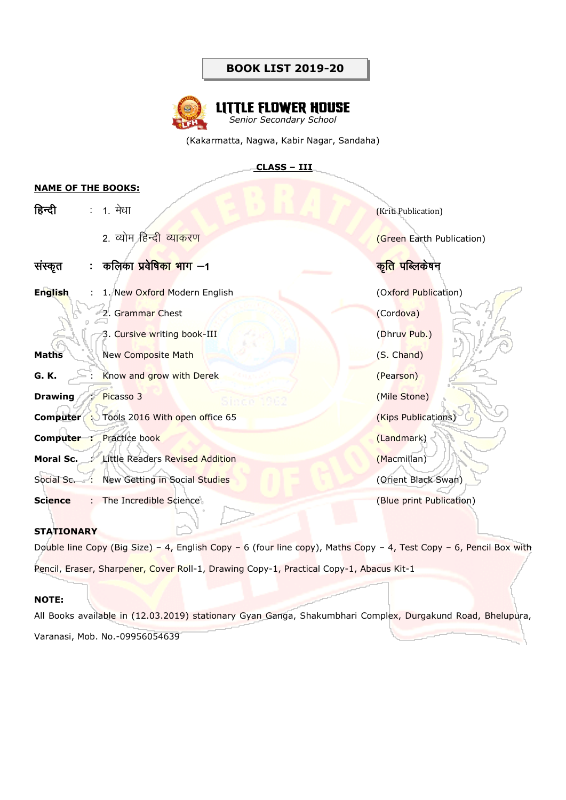

(Kakarmatta, Nagwa, Kabir Nagar, Sandaha)

# **CLASS – III**

#### **NAME OF THE BOOKS:**

| हिन्दी         | $\mathbb{Z}^2$ | 1. मेधा                                          | (Kriti Publication)           |
|----------------|----------------|--------------------------------------------------|-------------------------------|
|                |                | 2. व्योम हिन्दी व्याकरण                          | (Green Earth Publication)     |
| सस्कृत         |                | :  कलिका प्रवेषिका भाग —1                        | क <mark>ृति पब्लिके</mark> षन |
| <b>English</b> |                | : 1. New Oxford Modern English                   | (Oxford Publication)          |
|                |                | 2. Grammar Chest                                 | (Cordova)                     |
|                |                | 3. Cursive writing book-III                      | (Dhruv Pub.)                  |
| <b>Maths</b>   |                | <b>New Composite Math</b>                        | (S. Chand)                    |
| G. K.          |                | : Know and grow with Derek                       | (Pearson)                     |
| <b>Drawing</b> |                | Picasso 3<br>Since 1962                          | (Mile Stone)                  |
|                |                | <b>Computer</b> : Tools 2016 With open office 65 | (Kips Publications)           |
|                |                | <b>Computer :</b> Practice book                  | (Landmark)                    |
| Moral Sc.      |                | <b>Little Readers Revised Addition</b>           | (Macmillan)                   |
| Social Sc. :   |                | New Getting in Social Studies                    | (Orient Black Swan)           |
| <b>Science</b> |                | The Incredible Science                           | (Blue print Publication)      |

# **STATIONARY**

Double line Copy (Big Size) – 4, English Copy – 6 (four line copy), Maths Copy – 4, Test Copy – 6, Pencil Box with Pencil, Eraser, Sharpener, Cover Roll-1, Drawing Copy-1, Practical Copy-1, Abacus Kit-1

### **NOTE:**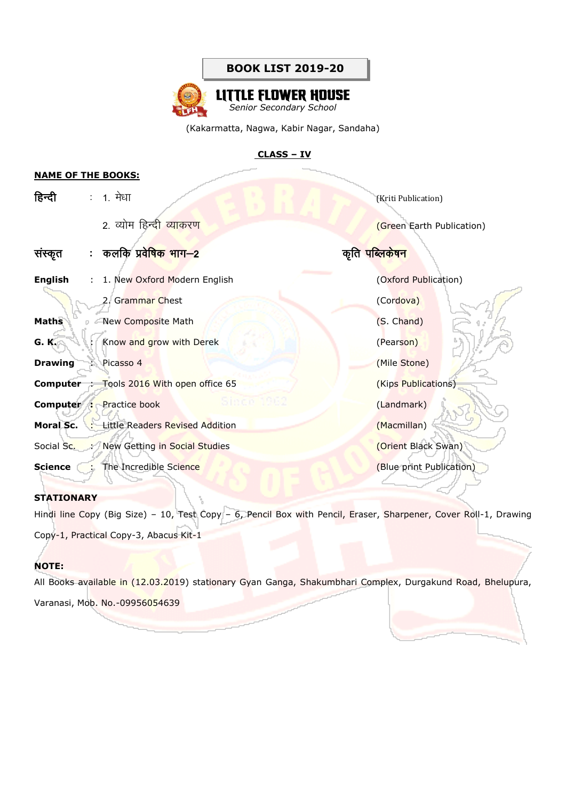

(Kakarmatta, Nagwa, Kabir Nagar, Sandaha)

#### **CLASS – IV**

#### **NAME OF THE BOOKS:**

| हिन्दी         |   | : 1. मेधा                                          | (Kriti Publication)          |
|----------------|---|----------------------------------------------------|------------------------------|
|                |   | 2. व्योम हिन्दी व्याकरण                            | (Green Earth Publication)    |
| सस्कृत         |   | :   कलकि प्रवे <mark>षिक भाग—2</mark>              | कृति पब्लि <mark>केषन</mark> |
| English        |   | : 1. New Oxford Modern English                     | (Oxford Publication)         |
|                |   | 2. Grammar Chest                                   | (Cordova)                    |
| <b>Maths</b>   |   | New Composite Math                                 | (S. Chand)                   |
| <b>G.K.</b>    |   | : Know and grow with Derek                         | (Pearson)                    |
| <b>Drawing</b> | ÷ | Picasso 4                                          | (Mile Stone)                 |
|                |   | <b>Computer</b> : Tools 2016 With open office 65   | (Kips Publications)          |
|                |   | Since 1962<br><b>Computer :</b> Practice book      | (Landmark)                   |
|                |   | <b>Moral Sc.</b> : Little Readers Revised Addition | (Macmillan)                  |
|                |   | Social Sc. : New Getting in Social Studies         | (Orient Black Swan)          |
| Science        | ÷ | The Incredible Science                             | (Blue print Publication)     |

### **STATIONARY**

Hindi line Copy (Big Size) - 10, Test Copy - 6, Pencil Box with Pencil, Eraser, Sharpener, Cover Roll-1, Drawing

Copy-1, Practical Copy-3, Abacus Kit-1

#### **NOTE:**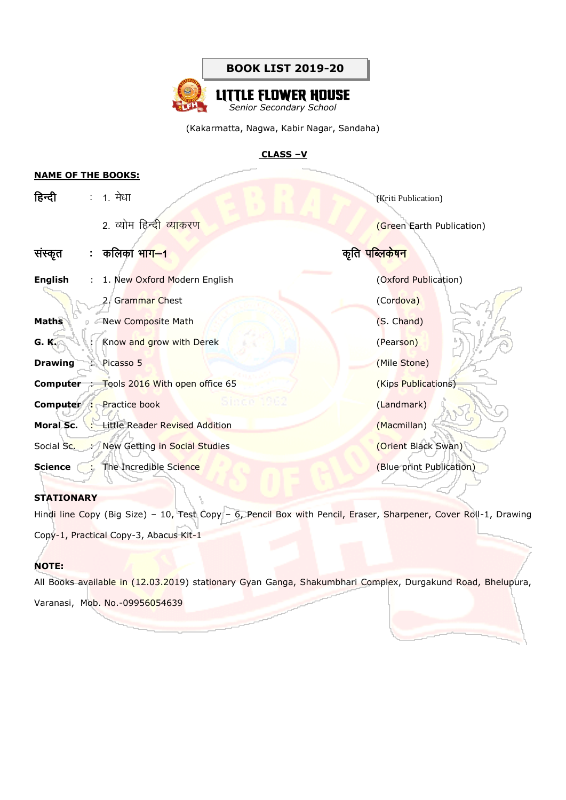

#### **CLASS –V**

#### **NAME OF THE BOOKS:**

| हिन्दी         | $\mathcal{L}$ | 1. मेधा                                           | (Kriti Publication)         |
|----------------|---------------|---------------------------------------------------|-----------------------------|
|                |               | 2. व्योम हिन्दी व्याकरण                           | (Green Earth Publication)   |
| सस्कृत         | ÷.            | कलिका भा <mark>ग--1</mark>                        | कृति <mark>पब्लिकेषन</mark> |
| <b>English</b> | ÷             | 1. New Oxford Modern English                      | (Oxford Publication)        |
|                |               | 2. Grammar Chest                                  | (Cordova)                   |
| Maths          |               | New Composite Math                                | (S. Chand)                  |
| G. K.          | $\sim 10$     | Know and grow with Derek                          | (Pearson)                   |
| <b>Drawing</b> |               | Picasso 5                                         | (Mile Stone)                |
|                |               | <b>Computer</b> : Tools 2016 With open office 65  | (Kips Publications)         |
| Computer:      |               | Since 1262<br><b>Practice book</b>                | (Landmark)                  |
|                |               | <b>Moral Sc.</b> : Little Reader Revised Addition | (Macmillan)                 |
|                |               | Social Sc. : New Getting in Social Studies        | (Orient Black Swan)         |
| Science        |               | The Incredible Science                            | (Blue print Publication)    |

#### **STATIONARY**

Hindi line Copy (Big Size) - 10, Test Copy - 6, Pencil Box with Pencil, Eraser, Sharpener, Cover Roll-1, Drawing

Copy-1, Practical Copy-3, Abacus Kit-1

#### **NOTE:**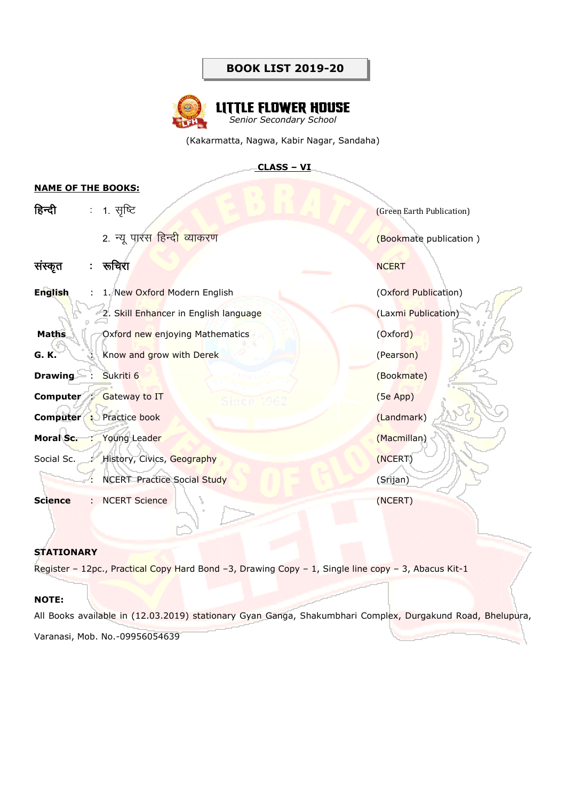

(Kakarmatta, Nagwa, Kabir Nagar, Sandaha)

#### **CLASS – VI**

### **NAME OF THE BOOKS:**

| हिन्दी          | $\mathbb{Z}^+$ | 1. सृष्टि                                 | (Green Earth Publication) |
|-----------------|----------------|-------------------------------------------|---------------------------|
|                 |                | 2. न्यू पारस हिन्द <mark>ी व्याकरण</mark> | (Bookmate publication)    |
| संस्कृत         | ÷              | रूचिरा                                    | <b>NCERT</b>              |
| <b>English</b>  |                | : 1. New Oxford Modern English            | (Oxford Publication)      |
|                 |                | 2. Skill Enhancer in English language     | (Laxmi Publication)       |
| <b>Maths</b>    |                | Oxford new enjoying Mathematics           | (Oxford)                  |
| G. K.           | ÷              | Know and grow with Derek                  | (Pearson)                 |
| <b>Drawing</b>  |                | Sukriti 6                                 | (Bookmate)                |
| <b>Computer</b> | <b>1999</b>    | <b>Gateway to IT</b><br>Since             | $(5e$ App $)$             |
|                 |                | <b>Computer :</b> Practice book           | (Landmark)                |
|                 |                | Moral Sc. : Young Leader                  | (Macmillan)               |
| Social Sc.      | ÷              | History, Civics, Geography                | (NCERT)                   |
|                 |                | <b>NCERT</b> Practice Social Study        | (Srijan)                  |
| <b>Science</b>  | ÷              | <b>NCERT Science</b>                      | (NCERT)                   |

#### **STATIONARY**

Register - 12pc., Practical Copy Hard Bond -3, Drawing Copy - 1, Single line copy - 3, Abacus Kit-1

#### **NOTE:**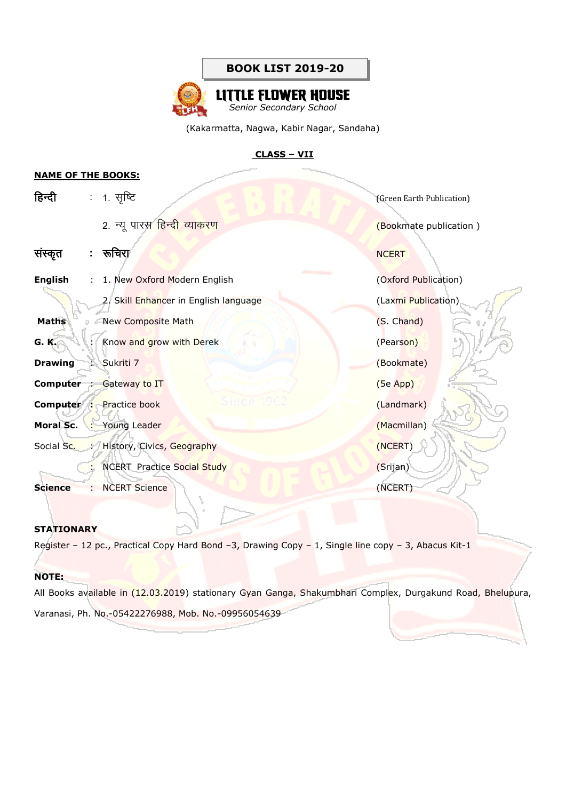

# **CLASS – VII**

#### **NAME OF THE BOOKS:**

| हिन्दी         |                | : 1. सृष्टि                              | (Green Earth Publication) |
|----------------|----------------|------------------------------------------|---------------------------|
|                |                | 2. न्यू पारस हिन्दी व्याकरण              | (Bookmate publication)    |
| संस्कृत        | ÷              | रूचिरा                                   | <b>NCERT</b>              |
| <b>English</b> | ÷.             | 1. New Oxford Modern English             | (Oxford Publication)      |
|                |                | 2. Skill Enhancer in English language    | (Laxmi Publication)       |
| <b>Maths</b>   |                | New Composite Math                       | (S. Chand)                |
| G. K.          | $\mathbb{R}^n$ | Know and grow with Derek                 | (Pearson)                 |
| <b>Drawing</b> | ÷.             | Sukriti 7                                | (Bookmate)                |
|                |                | <b>Computer</b> : Gateway to IT          | $(5e$ App $)$             |
|                |                | Since<br><b>Computer :</b> Practice book | (Landmark)                |
|                |                | Moral Sc. : Young Leader                 | (Macmillan)               |
|                |                | Social Sc. : History, Civics, Geography  | (NCERT)                   |
|                |                | <b>NCERT Practice Social Study</b>       | (Srijan)                  |
| <b>Science</b> | t i            | <b>NCERT Science</b>                     | (NCERT)                   |

## **STATIONARY**

Register - 12 pc., Practical Copy Hard Bond -3, Drawing Copy - 1, Single line copy - 3, Abacus Kit-1

#### **NOTE:**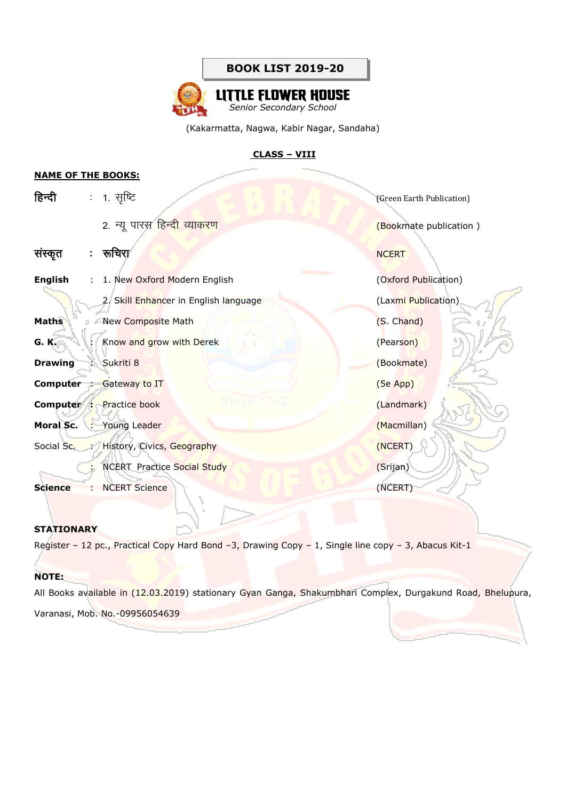

## **CLASS – VIII**

#### **NAME OF THE BOOKS:**

| हिन्दी         | $\mathcal{L}^{\mathcal{L}}$ | 1. सृष्टि                                    | (Green Earth Publication) |
|----------------|-----------------------------|----------------------------------------------|---------------------------|
|                |                             | 2. न्यू पारस हिन्दी व्याकरण                  | (Bookmate publication)    |
| संस्कृत        | ÷                           | रूचिरा                                       | <b>NCERT</b>              |
| <b>English</b> | $\mathcal{L}$               | 1. New Oxford Modern English                 | (Oxford Publication)      |
|                |                             | 2. Skill Enhancer in English language        | (Laxmi Publication)       |
| Maths          |                             | New Composite Math                           | (S. Chand)                |
| G. K.          | $\mathbb{Z}^{\mathbb{Z}}$   | Know and grow with Derek                     | (Pearson)                 |
| <b>Drawing</b> | ÷.                          | Sukriti 8                                    | (Bookmate)                |
|                |                             | <b>Computer</b> : Gateway to IT              | $(5e$ App)                |
|                |                             | Since 196<br><b>Computer :</b> Practice book | (Landmark)                |
|                |                             | Moral Sc. : Young Leader                     | (Macmillan)               |
|                |                             | Social Sc. : History, Civics, Geography      | (NCERT)                   |
|                |                             | <b>NCERT</b> Practice Social Study           | (Srijan)                  |
| <b>Science</b> | <b>STEP</b>                 | <b>NCERT Science</b>                         | (NCERT)                   |

## **STATIONARY**

Register - 12 pc., Practical Copy Hard Bond -3, Drawing Copy - 1, Single line copy - 3, Abacus Kit-1

#### **NOTE:**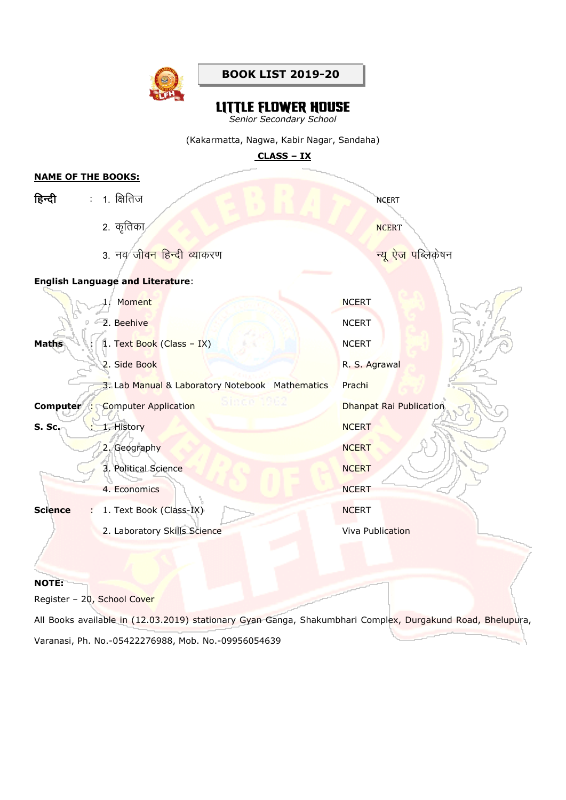

# **LITTLE FLOWER HOUSE**

*Senior Secondary School*

(Kakarmatta, Nagwa, Kabir Nagar, Sandaha)

**CLASS – IX**

## **NAME OF THE BOOKS:**

| हिन्दी         |                              | : 1. क्षितिज                                    | <b>NCERT</b>            |
|----------------|------------------------------|-------------------------------------------------|-------------------------|
|                |                              | 2. कृतिका                                       | <b>NCERT</b>            |
|                |                              | 3. नव जी <mark>वन हिन्दी व्या</mark> करण        | न्यू ऐज पब्लिकेषन       |
|                |                              | <b>English Language and Literature:</b>         |                         |
|                |                              | 1. Moment                                       | <b>NCERT</b>            |
|                |                              | 2. Beehive                                      | <b>NCERT</b>            |
| <b>Maths</b>   | $\mathcal{L}_{\mathrm{eff}}$ | 1. Text Book (Class - IX)                       | <b>NCERT</b>            |
|                |                              | 2. Side Book                                    | R. S. Agrawal           |
|                |                              | 3. Lab Manual & Laboratory Notebook Mathematics | Prachi                  |
| Computer :     |                              | Since 1982<br><b>Computer Application</b>       | Dhanpat Rai Publication |
| <b>S. Sc.</b>  | ÷.                           | 1. History                                      | <b>NCERT</b>            |
|                |                              | 2. Geography                                    | <b>NCERT</b>            |
|                |                              | 3. Political Science                            | <b>NCERT</b>            |
|                |                              | 4. Economics                                    | <b>NCERT</b>            |
| <b>Science</b> |                              | 1. Text Book (Class-IX)                         | <b>NCERT</b>            |
|                |                              | 2. Laboratory Skills Science                    | Viva Publication        |
|                |                              |                                                 |                         |

#### **NOTE:**

Register – 20, School Cover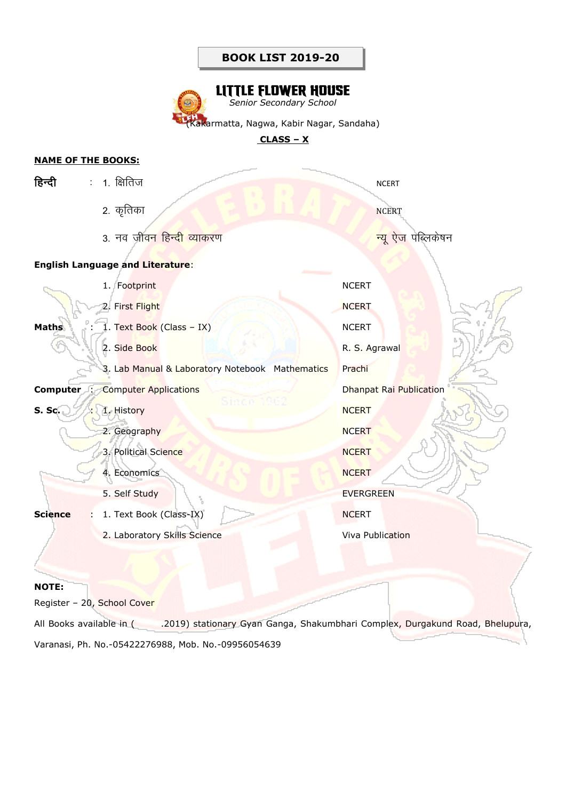# **LITTLE FLOWER HOUSE** *Senior Secondary School*

lakarmatta, Nagwa, Kabir Nagar, Sandaha)

### **CLASS – X**

# **NAME OF THE BOOKS:**

| हिन्दी                                       | : 1. क्षितिज                                    | <b>NCERT</b>                   |  |
|----------------------------------------------|-------------------------------------------------|--------------------------------|--|
|                                              | 2. कृतिका                                       | <b>NCERT</b>                   |  |
|                                              | 3. नव जीवन हिन्द <mark>ी व्याकरण</mark>         | <mark>न्यू ऐज</mark> पब्लिकेषन |  |
|                                              | <b>English Language and Literature:</b>         |                                |  |
|                                              | 1. Footprint                                    | <b>NCERT</b>                   |  |
|                                              | 2. First Flight                                 | <b>NCERT</b>                   |  |
| <b>Maths</b><br>$\mathcal{L}_{\mathrm{eff}}$ | 1. Text Book (Class - IX)                       | <b>NCERT</b>                   |  |
|                                              | 2. Side Book                                    | R. S. Agrawal                  |  |
|                                              | 3. Lab Manual & Laboratory Notebook Mathematics | Prachi                         |  |
| Computer :                                   | <b>Computer Applications</b>                    | Dhanpat Rai Publication        |  |
| <b>S. Sc.</b>                                | Since 11<br>1. History                          | <b>NCERT</b>                   |  |
|                                              | 2. Geography                                    | <b>NCERT</b>                   |  |
|                                              | 3. Political Science                            | <b>NCERT</b>                   |  |
|                                              | 4. Economics                                    | <b>NCERT</b>                   |  |
|                                              | 5. Self Study                                   | <b>EVERGREEN</b>               |  |
| <b>Science</b>                               | 1. Text Book (Class-IX)                         | <b>NCERT</b>                   |  |
|                                              | 2. Laboratory Skills Science                    | <b>Viva Publication</b>        |  |
|                                              |                                                 |                                |  |

# **NOTE:**

Register – 20, School Cover

All Books available in ( .2019) stationary Gyan Ganga, Shakumbhari Complex, Durgakund Road, Bhelupura, Varanasi, Ph. No.-05422276988, Mob. No.-09956054639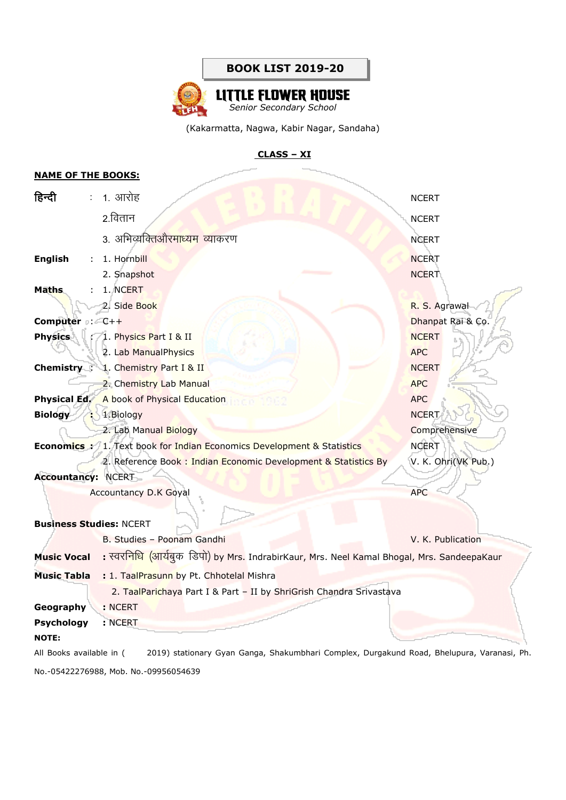

### **CLASS – XI**

### **NAME OF THE BOOKS:**

| हिन्दी                                                         | $\mathcal{L}_{\mathcal{A}}$ | 1. आरोह                                                                                    | <b>NCERT</b>        |  |  |
|----------------------------------------------------------------|-----------------------------|--------------------------------------------------------------------------------------------|---------------------|--|--|
|                                                                |                             | 2.वितान                                                                                    | <b>NCERT</b>        |  |  |
|                                                                |                             | 3. अभिव्यक्तिऔरमाध्यम व्याकरण                                                              | <b>NCERT</b>        |  |  |
| <b>English</b>                                                 | $\mathcal{L}$               | 1. Hornbill                                                                                | <b>NCERT</b>        |  |  |
|                                                                |                             | 2. Snapshot                                                                                | <b>NCERT</b>        |  |  |
| Maths                                                          |                             | 1. NCERT                                                                                   |                     |  |  |
|                                                                |                             | 2. Side Book                                                                               | R. S. Agrawal       |  |  |
| <b>Computer</b> : $C++$                                        |                             |                                                                                            | Dhanpat Rai & Co.   |  |  |
| <b>Physics</b>                                                 |                             | 1. Physics Part I & II                                                                     | <b>NCERT</b>        |  |  |
|                                                                |                             | 2. Lab ManualPhysics                                                                       | <b>APC</b>          |  |  |
|                                                                |                             | <b>Chemistry</b> : 1. Chemistry Part I & II                                                | <b>NCERT</b>        |  |  |
|                                                                |                             | 2. Chemistry Lab Manual                                                                    | <b>APC</b>          |  |  |
|                                                                |                             | <b>Physical Ed.</b> A book of Physical Education                                           | <b>APC</b>          |  |  |
| <b>Biology</b>                                                 |                             | : 1.Biology                                                                                | <b>NCERT</b>        |  |  |
|                                                                |                             | 2. Lab Manual Biology                                                                      | Comprehensive       |  |  |
|                                                                |                             | <b>Economics :</b> 1. Text book for Indian Economics Development & Statistics              | <b>NCERT</b>        |  |  |
|                                                                |                             | 2. Reference Book: Indian Economic Development & Statistics By                             | V. K. Ohri(VK Pub.) |  |  |
| <b>Accountancy: NCERT</b>                                      |                             |                                                                                            |                     |  |  |
|                                                                |                             | <b>Accountancy D.K Goyal</b>                                                               | <b>APC</b>          |  |  |
|                                                                |                             |                                                                                            |                     |  |  |
| <b>Business Studies: NCERT</b>                                 |                             |                                                                                            |                     |  |  |
|                                                                |                             | B. Studies - Poonam Gandhi                                                                 | V. K. Publication   |  |  |
| <b>Music Vocal</b>                                             |                             | : स्वरनिधि (आर्यबुक डिपो) by Mrs. IndrabirKaur, Mrs. Neel Kamal Bhogal, Mrs. SandeepaKaur  |                     |  |  |
| : 1. TaalPrasunn by Pt. Chhotelal Mishra<br><b>Music Tabla</b> |                             |                                                                                            |                     |  |  |
|                                                                |                             | 2. TaalParichaya Part I & Part - II by ShriGrish Chandra Srivastava                        |                     |  |  |
| Geography                                                      |                             | : NCERT                                                                                    |                     |  |  |
| <b>Psychology</b>                                              |                             | : NCERT                                                                                    |                     |  |  |
| <b>NOTE:</b>                                                   |                             |                                                                                            |                     |  |  |
| All Books available in (                                       |                             | 2019) stationary Gyan Ganga, Shakumbhari Complex, Durgakund Road, Bhelupura, Varanasi, Ph. |                     |  |  |

No.-05422276988, Mob. No.-09956054639